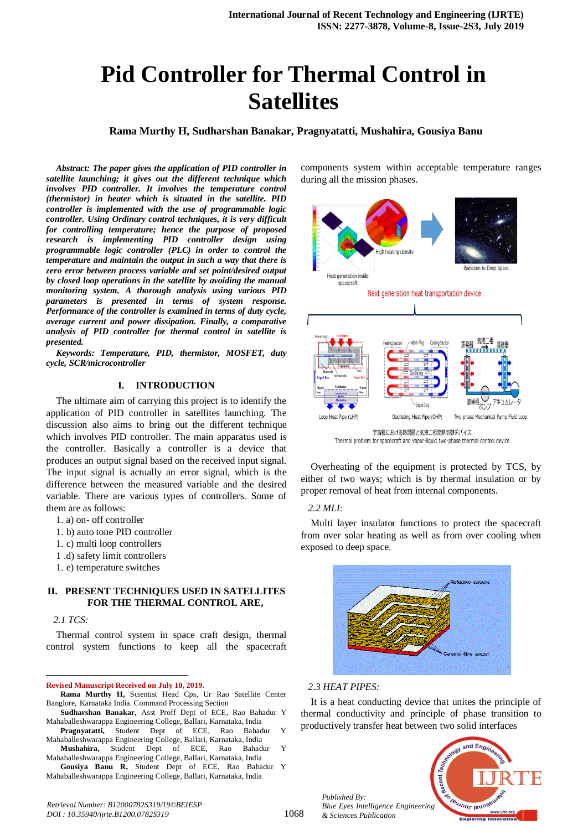# **Pid Controller for Thermal Control in Satellites**

**Rama Murthy H, Sudharshan Banakar, Pragnyatatti, Mushahira, Gousiya Banu**

*Abstract: The paper gives the application of PID controller in satellite launching; it gives out the different technique which involves PID controller. It involves the temperature control (thermistor) in heater which is situated in the satellite. PID controller is implemented with the use of programmable logic controller. Using Ordinary control techniques, it is very difficult for controlling temperature; hence the purpose of proposed research is implementing PID controller design using programmable logic controller (PLC) in order to control the temperature and maintain the output in such a way that there is zero error between process variable and set point/desired output by closed loop operations in the satellite by avoiding the manual monitoring system. A thorough analysis using various PID parameters is presented in terms of system response. Performance of the controller is examined in terms of duty cycle, average current and power dissipation. Finally, a comparative analysis of PID controller for thermal control in satellite is presented.*

*Keywords: Temperature, PID, thermistor, MOSFET, duty cycle, SCR/microcontroller*

## **I. INTRODUCTION**

The ultimate aim of carrying this project is to identify the application of PID controller in satellites launching. The discussion also aims to bring out the different technique which involves PID controller. The main apparatus used is the controller. Basically a controller is a device that produces an output signal based on the received input signal. The input signal is actually an error signal, which is the difference between the measured variable and the desired variable. There are various types of controllers. Some of them are as follows:

- 1. a) on- off controller
- 1. b) auto tone PID controller
- 1. c) multi loop controllers
- 1 .d) safety limit controllers
- 1. e) temperature switches

#### **II. PRESENT TECHNIQUES USED IN SATELLITES FOR THE THERMAL CONTROL ARE,**

#### *2.1 TCS:*

 $\overline{a}$ 

Thermal control system in space craft design, thermal control system functions to keep all the spacecraft

**Revised Manuscript Received on July 10, 2019.**

Pragnyatatti, Student Dept of ECE, Rao Bahadur Mahaballeshwarappa Engineering College, Ballari, Karnataka, India

- **Mushahira,** Student Dept of ECE, Rao Bahadur Y Mahaballeshwarappa Engineering College, Ballari, Karnataka, India
- **Gousiya Banu R,** Student Dept of ECE, Rao Bahadur Y Mahaballeshwarappa Engineering College, Ballari, Karnataka, India

components system within acceptable temperature ranges during all the mission phases.



Overheating of the equipment is protected by TCS, by either of two ways; which is by thermal insulation or by proper removal of heat from internal components.

#### *2.2 MLI:*

Multi layer insulator functions to protect the spacecraft from over solar heating as well as from over cooling when exposed to deep space.



#### *2.3 HEAT PIPES:*

1068

It is a heat conducting device that unites the principle of thermal conductivity and principle of phase transition to productively transfer heat between two solid interfaces



*Published By: Blue Eyes Intelligence Engineering & Sciences Publication* 

**Rama Murthy H,** Scientist Head Cps, Ur Rao Satellite Center Banglore, Karnataka India. Command Processing Section

**Sudharshan Banakar,** Asst Proff Dept of ECE, Rao Bahadur Y Mahaballeshwarappa Engineering College, Ballari, Karnataka, India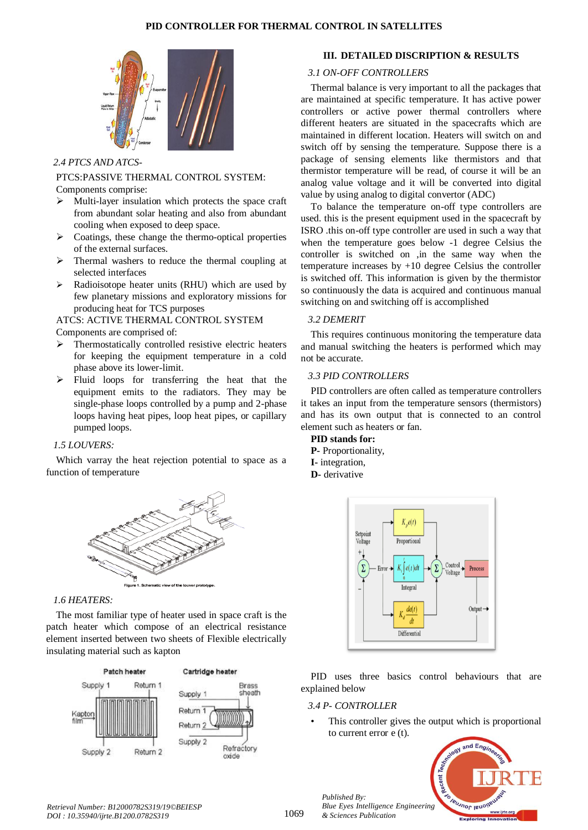

#### *2.4 PTCS AND ATCS-*

PTCS:PASSIVE THERMAL CONTROL SYSTEM:

Components comprise:

- $\triangleright$  Multi-layer insulation which protects the space craft from abundant solar heating and also from abundant cooling when exposed to deep space.
- $\triangleright$  Coatings, these change the thermo-optical properties of the external surfaces.
- $\triangleright$  Thermal washers to reduce the thermal coupling at selected interfaces
- $\triangleright$  Radioisotope heater units (RHU) which are used by few planetary missions and exploratory missions for producing heat for TCS purposes

# ATCS: ACTIVE THERMAL CONTROL SYSTEM

Components are comprised of:

- $\triangleright$  Thermostatically controlled resistive electric heaters for keeping the equipment temperature in a cold phase above its lower-limit.
- Fluid loops for transferring the heat that the equipment emits to the radiators. They may be single-phase loops controlled by a pump and 2-phase loops having heat pipes, loop heat pipes, or capillary pumped loops.

#### *1.5 LOUVERS:*

Which varray the heat rejection potential to space as a function of temperature



#### *1.6 HEATERS:*

The most familiar type of heater used in space craft is the patch heater which compose of an electrical resistance element inserted between two sheets of Flexible electrically insulating material such as kapton



#### **III. DETAILED DISCRIPTION & RESULTS**

# *3.1 ON-OFF CONTROLLERS*

Thermal balance is very important to all the packages that are maintained at specific temperature. It has active power controllers or active power thermal controllers where different heaters are situated in the spacecrafts which are maintained in different location. Heaters will switch on and switch off by sensing the temperature. Suppose there is a package of sensing elements like thermistors and that thermistor temperature will be read, of course it will be an analog value voltage and it will be converted into digital value by using analog to digital convertor (ADC)

To balance the temperature on-off type controllers are used. this is the present equipment used in the spacecraft by ISRO .this on-off type controller are used in such a way that when the temperature goes below -1 degree Celsius the controller is switched on ,in the same way when the temperature increases by +10 degree Celsius the controller is switched off. This information is given by the thermistor so continuously the data is acquired and continuous manual switching on and switching off is accomplished

# *3.2 DEMERIT*

This requires continuous monitoring the temperature data and manual switching the heaters is performed which may not be accurate.

# *3.3 PID CONTROLLERS*

PID controllers are often called as temperature controllers it takes an input from the temperature sensors (thermistors) and has its own output that is connected to an control element such as heaters or fan.

**PID stands for:**

**P-** Proportionality, **I-** integration, **D-** derivative



PID uses three basics control behaviours that are explained below

#### *3.4 P- CONTROLLER*

*Published By:*

*& Sciences Publication* 

This controller gives the output which is proportional to current error e (t).

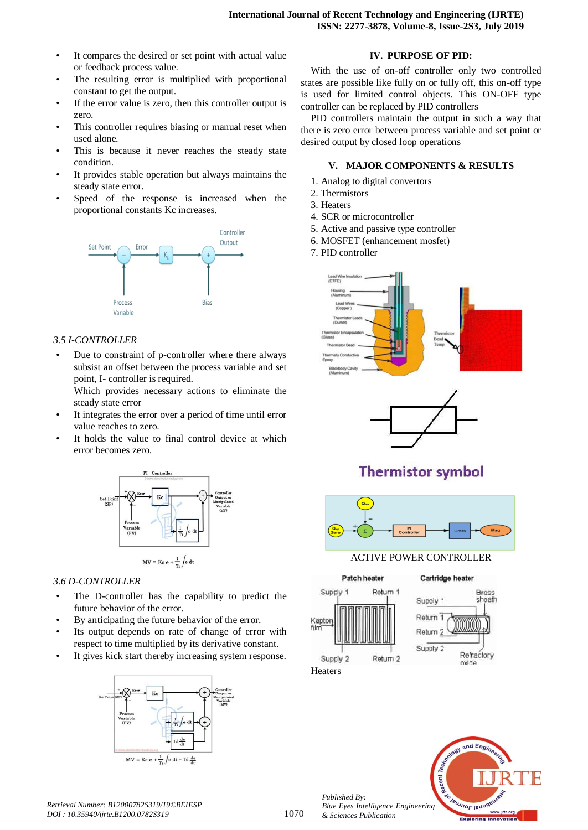- It compares the desired or set point with actual value or feedback process value.
- The resulting error is multiplied with proportional constant to get the output.
- If the error value is zero, then this controller output is zero.
- This controller requires biasing or manual reset when used alone.
- This is because it never reaches the steady state condition.
- It provides stable operation but always maintains the steady state error.
- Speed of the response is increased when the proportional constants Kc increases.



#### *3.5 I-CONTROLLER*

Due to constraint of p-controller where there always subsist an offset between the process variable and set point, I- controller is required.

Which provides necessary actions to eliminate the steady state error

- It integrates the error over a period of time until error value reaches to zero.
- It holds the value to final control device at which error becomes zero.



$$
MV = Kc e + \frac{1}{T_i} \int e dt
$$

#### *3.6 D-CONTROLLER*

- The D-controller has the capability to predict the future behavior of the error.
- By anticipating the future behavior of the error.
- Its output depends on rate of change of error with respect to time multiplied by its derivative constant.
- It gives kick start thereby increasing system response.



#### **IV. PURPOSE OF PID:**

With the use of on-off controller only two controlled states are possible like fully on or fully off, this on-off type is used for limited control objects. This ON-OFF type controller can be replaced by PID controllers

PID controllers maintain the output in such a way that there is zero error between process variable and set point or desired output by closed loop operations

### **V. MAJOR COMPONENTS & RESULTS**

- 1. Analog to digital convertors
- 2. Thermistors
- 3. Heaters
- 4. SCR or microcontroller
- 5. Active and passive type controller
- 6. MOSFET (enhancement mosfet)
- 7. PID controller





# **Thermistor symbol**



### ACTIVE POWER CONTROLLER







*Published By:*

*& Sciences Publication*